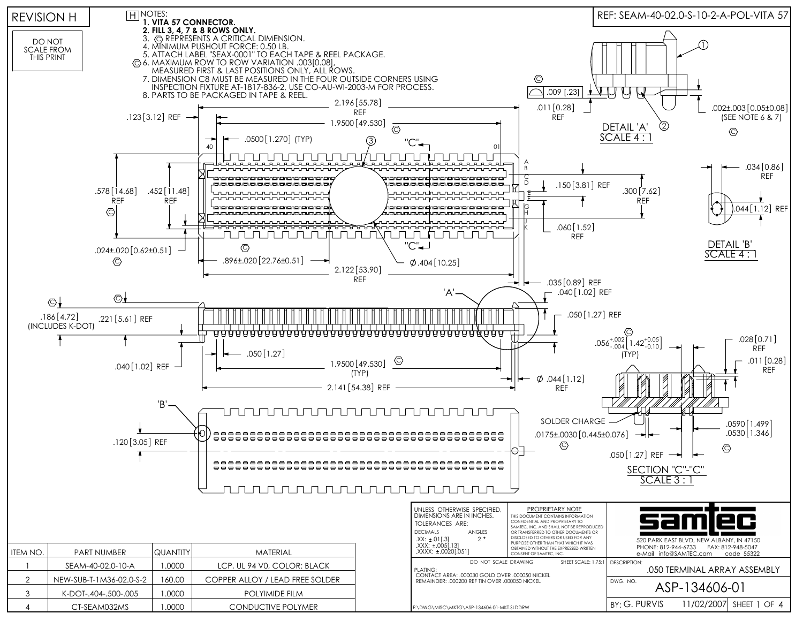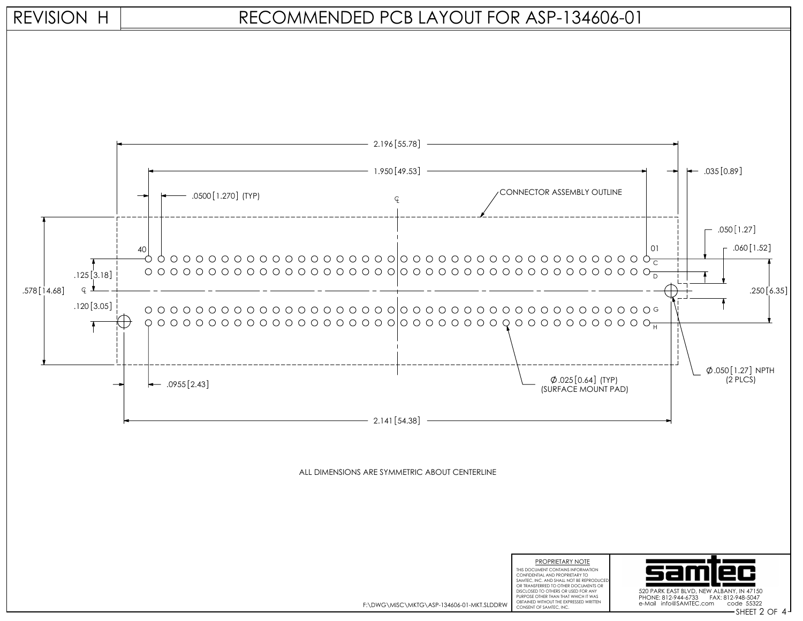

## RECOMMENDED PCB LAYOUT FOR ASP-134606-01



F:\DWG\MISC\MKTG\ASP-134606-01-MKT.SLDDRW

CONSENT OF SAMTEC, INC. **2 2 4 MM CONSENT OF SAMTEC, INC.** 2 CHE CONSENT OF SAMTEC, INC.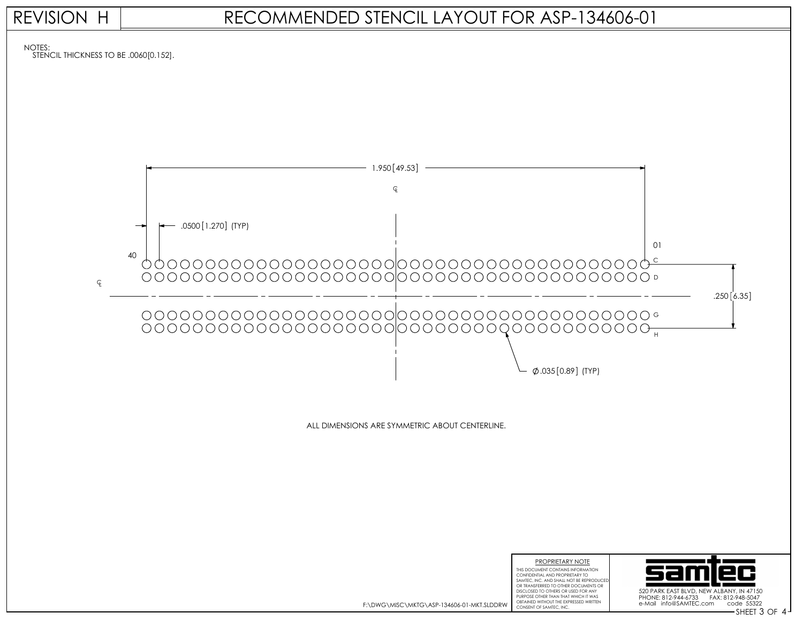

| F:\DWG\MISC\MKTG\ASP-134606-01-MKT.SLDDRW |  |
|-------------------------------------------|--|
|                                           |  |

OBTAINED WITHOUT THE EXPRESSED WRITTEN<br>CONSENT OF SAMTEC, INC.

CONSENT OF SAMTEC, INC. The Consent of Structure of the Consent of SHEET 3 OF 4 PHONE: 812-944-6733 FAX: 812-948-5047 e-Mail info@SAMTEC.com